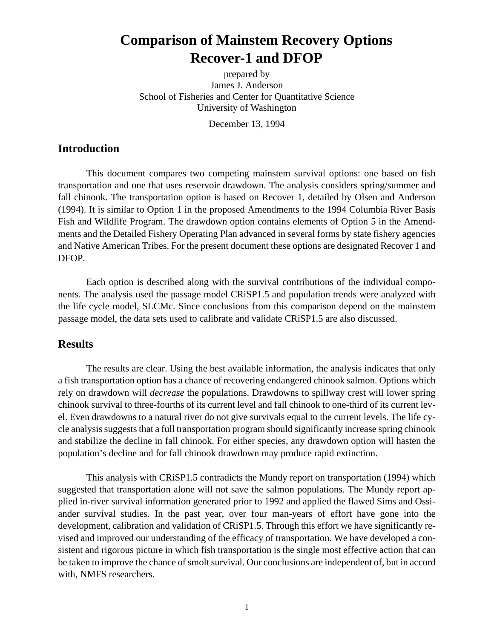# **Comparison of Mainstem Recovery Options Recover-1 and DFOP**

prepared by James J. Anderson School of Fisheries and Center for Quantitative Science University of Washington

December 13, 1994

#### **Introduction**

This document compares two competing mainstem survival options: one based on fish transportation and one that uses reservoir drawdown. The analysis considers spring/summer and fall chinook. The transportation option is based on Recover 1, detailed by Olsen and Anderson (1994). It is similar to Option 1 in the proposed Amendments to the 1994 Columbia River Basis Fish and Wildlife Program. The drawdown option contains elements of Option 5 in the Amendments and the Detailed Fishery Operating Plan advanced in several forms by state fishery agencies and Native American Tribes. For the present document these options are designated Recover 1 and DFOP.

Each option is described along with the survival contributions of the individual components. The analysis used the passage model CRiSP1.5 and population trends were analyzed with the life cycle model, SLCMc. Since conclusions from this comparison depend on the mainstem passage model, the data sets used to calibrate and validate CRiSP1.5 are also discussed.

#### **Results**

The results are clear. Using the best available information, the analysis indicates that only a fish transportation option has a chance of recovering endangered chinook salmon. Options which rely on drawdown will *decrease* the populations. Drawdowns to spillway crest will lower spring chinook survival to three-fourths of its current level and fall chinook to one-third of its current level. Even drawdowns to a natural river do not give survivals equal to the current levels. The life cycle analysis suggests that a full transportation program should significantly increase spring chinook and stabilize the decline in fall chinook. For either species, any drawdown option will hasten the population's decline and for fall chinook drawdown may produce rapid extinction.

This analysis with CRiSP1.5 contradicts the Mundy report on transportation (1994) which suggested that transportation alone will not save the salmon populations. The Mundy report applied in-river survival information generated prior to 1992 and applied the flawed Sims and Ossiander survival studies. In the past year, over four man-years of effort have gone into the development, calibration and validation of CRiSP1.5. Through this effort we have significantly revised and improved our understanding of the efficacy of transportation. We have developed a consistent and rigorous picture in which fish transportation is the single most effective action that can be taken to improve the chance of smolt survival. Our conclusions are independent of, but in accord with, NMFS researchers.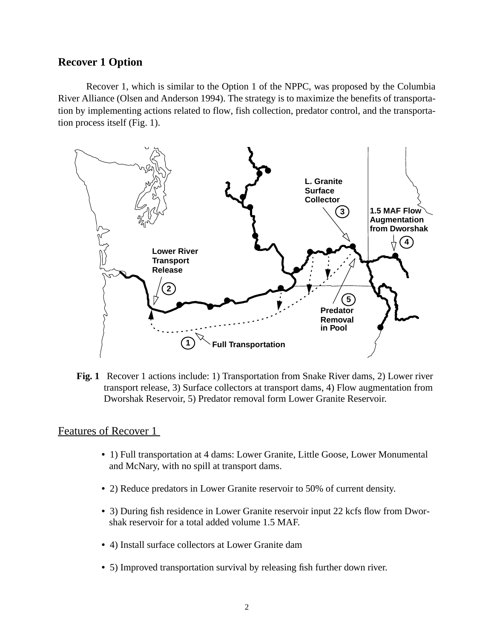## **Recover 1 Option**

Recover 1, which is similar to the Option 1 of the NPPC, was proposed by the Columbia River Alliance (Olsen and Anderson 1994). The strategy is to maximize the benefits of transportation by implementing actions related to flow, fish collection, predator control, and the transportation process itself (Fig. 1).



**Fig. 1** Recover 1 actions include: 1) Transportation from Snake River dams, 2) Lower river transport release, 3) Surface collectors at transport dams, 4) Flow augmentation from Dworshak Reservoir, 5) Predator removal form Lower Granite Reservoir.

#### Features of Recover 1

- **•** 1) Full transportation at 4 dams: Lower Granite, Little Goose, Lower Monumental and McNary, with no spill at transport dams.
- **•** 2) Reduce predators in Lower Granite reservoir to 50% of current density.
- **•** 3) During fish residence in Lower Granite reservoir input 22 kcfs flow from Dworshak reservoir for a total added volume 1.5 MAF.
- **•** 4) Install surface collectors at Lower Granite dam
- **•** 5) Improved transportation survival by releasing fish further down river.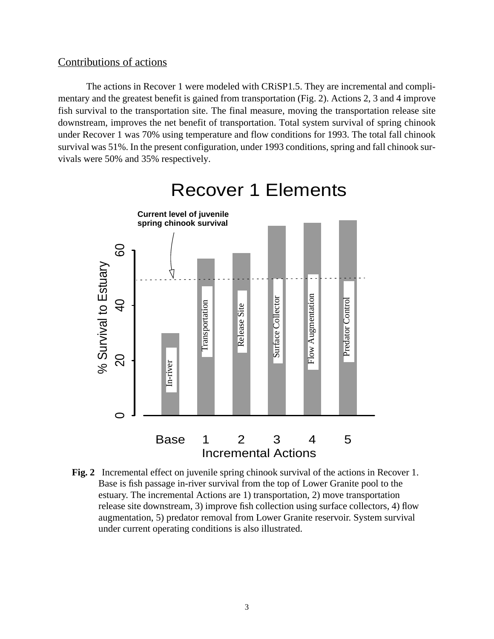# Contributions of actions

The actions in Recover 1 were modeled with CRiSP1.5. They are incremental and complimentary and the greatest benefit is gained from transportation (Fig. 2). Actions 2, 3 and 4 improve fish survival to the transportation site. The final measure, moving the transportation release site downstream, improves the net benefit of transportation. Total system survival of spring chinook under Recover 1 was 70% using temperature and flow conditions for 1993. The total fall chinook survival was 51%. In the present configuration, under 1993 conditions, spring and fall chinook survivals were 50% and 35% respectively.



Recover 1 Elements

**Fig. 2** Incremental effect on juvenile spring chinook survival of the actions in Recover 1. Base is fish passage in-river survival from the top of Lower Granite pool to the estuary. The incremental Actions are 1) transportation, 2) move transportation release site downstream, 3) improve fish collection using surface collectors, 4) flow augmentation, 5) predator removal from Lower Granite reservoir. System survival under current operating conditions is also illustrated.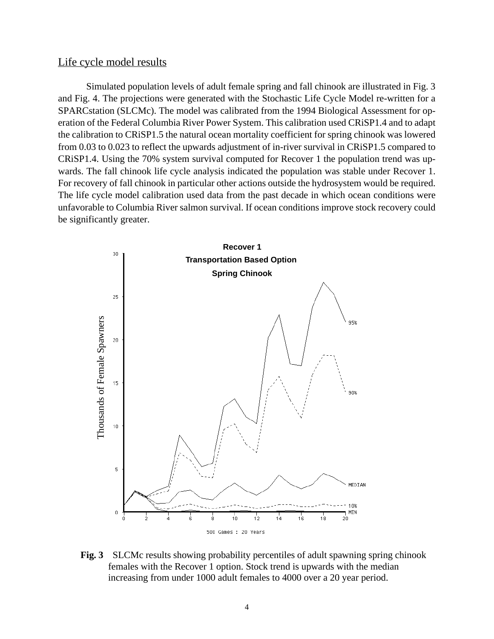#### Life cycle model results

Simulated population levels of adult female spring and fall chinook are illustrated in Fig. 3 and [Fig. 4.](#page-4-0) The projections were generated with the Stochastic Life Cycle Model re-written for a SPARCstation (SLCMc). The model was calibrated from the 1994 Biological Assessment for operation of the Federal Columbia River Power System. This calibration used CRiSP1.4 and to adapt the calibration to CRiSP1.5 the natural ocean mortality coefficient for spring chinook was lowered from 0.03 to 0.023 to reflect the upwards adjustment of in-river survival in CRiSP1.5 compared to CRiSP1.4. Using the 70% system survival computed for Recover 1 the population trend was upwards. The fall chinook life cycle analysis indicated the population was stable under Recover 1. For recovery of fall chinook in particular other actions outside the hydrosystem would be required. The life cycle model calibration used data from the past decade in which ocean conditions were unfavorable to Columbia River salmon survival. If ocean conditions improve stock recovery could be significantly greater.



**Fig. 3** SLCMc results showing probability percentiles of adult spawning spring chinook females with the Recover 1 option. Stock trend is upwards with the median increasing from under 1000 adult females to 4000 over a 20 year period.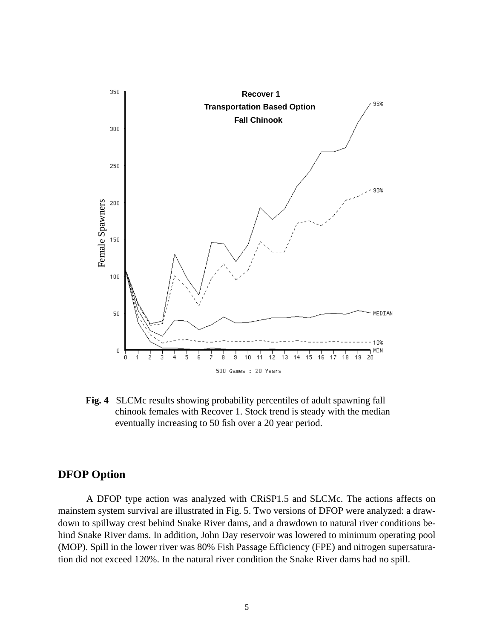<span id="page-4-0"></span>

**Fig. 4** SLCMc results showing probability percentiles of adult spawning fall chinook females with Recover 1. Stock trend is steady with the median eventually increasing to 50 fish over a 20 year period.

# **DFOP Option**

A DFOP type action was analyzed with CRiSP1.5 and SLCMc. The actions affects on mainstem system survival are illustrated in [Fig. 5](#page-5-0). Two versions of DFOP were analyzed: a drawdown to spillway crest behind Snake River dams, and a drawdown to natural river conditions behind Snake River dams. In addition, John Day reservoir was lowered to minimum operating pool (MOP). Spill in the lower river was 80% Fish Passage Efficiency (FPE) and nitrogen supersaturation did not exceed 120%. In the natural river condition the Snake River dams had no spill.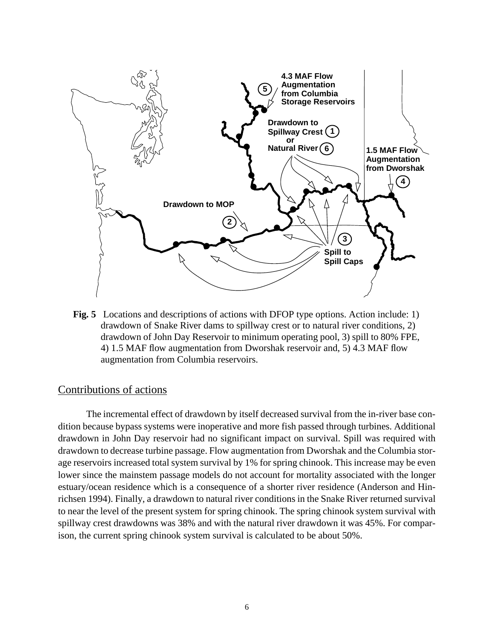<span id="page-5-0"></span>

**Fig. 5** Locations and descriptions of actions with DFOP type options. Action include: 1) drawdown of Snake River dams to spillway crest or to natural river conditions, 2) drawdown of John Day Reservoir to minimum operating pool, 3) spill to 80% FPE, 4) 1.5 MAF flow augmentation from Dworshak reservoir and, 5) 4.3 MAF flow augmentation from Columbia reservoirs.

#### Contributions of actions

The incremental effect of drawdown by itself decreased survival from the in-river base condition because bypass systems were inoperative and more fish passed through turbines. Additional drawdown in John Day reservoir had no significant impact on survival. Spill was required with drawdown to decrease turbine passage. Flow augmentation from Dworshak and the Columbia storage reservoirs increased total system survival by 1% for spring chinook. This increase may be even lower since the mainstem passage models do not account for mortality associated with the longer estuary/ocean residence which is a consequence of a shorter river residence (Anderson and Hinrichsen 1994). Finally, a drawdown to natural river conditions in the Snake River returned survival to near the level of the present system for spring chinook. The spring chinook system survival with spillway crest drawdowns was 38% and with the natural river drawdown it was 45%. For comparison, the current spring chinook system survival is calculated to be about 50%.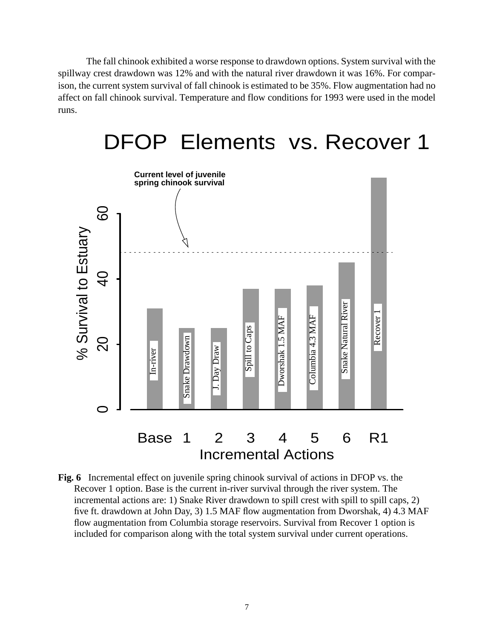The fall chinook exhibited a worse response to drawdown options. System survival with the spillway crest drawdown was 12% and with the natural river drawdown it was 16%. For comparison, the current system survival of fall chinook is estimated to be 35%. Flow augmentation had no affect on fall chinook survival. Temperature and flow conditions for 1993 were used in the model runs.



# DFOP Elements vs. Recover 1

**Fig. 6** Incremental effect on juvenile spring chinook survival of actions in DFOP vs. the Recover 1 option. Base is the current in-river survival through the river system. The incremental actions are: 1) Snake River drawdown to spill crest with spill to spill caps, 2) five ft. drawdown at John Day, 3) 1.5 MAF flow augmentation from Dworshak, 4) 4.3 MAF flow augmentation from Columbia storage reservoirs. Survival from Recover 1 option is included for comparison along with the total system survival under current operations.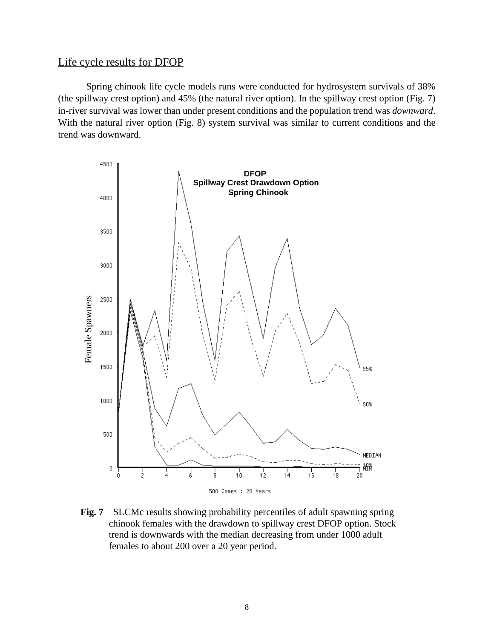# Life cycle results for DFOP

Spring chinook life cycle models runs were conducted for hydrosystem survivals of 38% (the spillway crest option) and 45% (the natural river option). In the spillway crest option (Fig. 7) in-river survival was lower than under present conditions and the population trend was *downward*. With the natural river option [\(Fig. 8](#page-8-0)) system survival was similar to current conditions and the trend was downward.



**Fig. 7** SLCMc results showing probability percentiles of adult spawning spring chinook females with the drawdown to spillway crest DFOP option. Stock trend is downwards with the median decreasing from under 1000 adult females to about 200 over a 20 year period.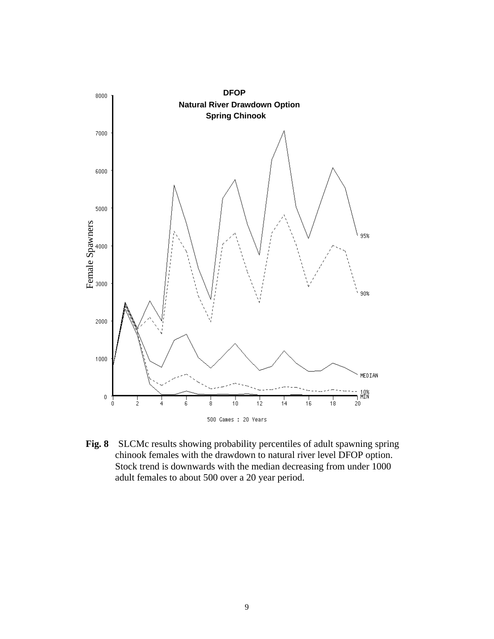<span id="page-8-0"></span>

**Fig. 8** SLCMc results showing probability percentiles of adult spawning spring chinook females with the drawdown to natural river level DFOP option. Stock trend is downwards with the median decreasing from under 1000 adult females to about 500 over a 20 year period.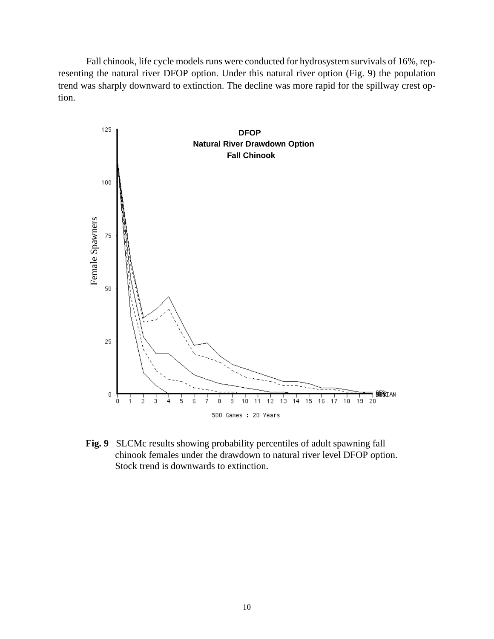Fall chinook, life cycle models runs were conducted for hydrosystem survivals of 16%, representing the natural river DFOP option. Under this natural river option (Fig. 9) the population trend was sharply downward to extinction. The decline was more rapid for the spillway crest option.



**Fig. 9** SLCMc results showing probability percentiles of adult spawning fall chinook females under the drawdown to natural river level DFOP option. Stock trend is downwards to extinction.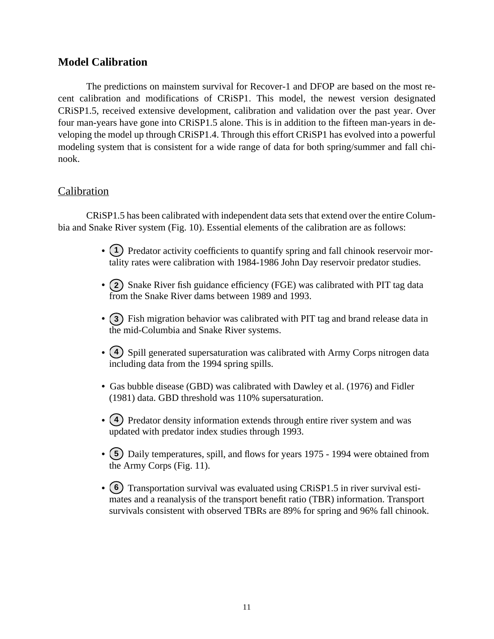# **Model Calibration**

The predictions on mainstem survival for Recover-1 and DFOP are based on the most recent calibration and modifications of CRiSP1. This model, the newest version designated CRiSP1.5, received extensive development, calibration and validation over the past year. Over four man-years have gone into CRiSP1.5 alone. This is in addition to the fifteen man-years in developing the model up through CRiSP1.4. Through this effort CRiSP1 has evolved into a powerful modeling system that is consistent for a wide range of data for both spring/summer and fall chinook.

# Calibration

CRiSP1.5 has been calibrated with independent data sets that extend over the entire Columbia and Snake River system [\(Fig. 10](#page-12-0)). Essential elements of the calibration are as follows:

- (1) Predator activity coefficients to quantify spring and fall chinook reservoir mortality rates were calibration with 1984-1986 John Day reservoir predator studies.
- (2) Snake River fish guidance efficiency (FGE) was calibrated with PIT tag data from the Snake River dams between 1989 and 1993.
- (3) Fish migration behavior was calibrated with PIT tag and brand release data in the mid-Columbia and Snake River systems.
- (4) Spill generated supersaturation was calibrated with Army Corps nitrogen data including data from the 1994 spring spills.
- **•** Gas bubble disease (GBD) was calibrated with Dawley et al. (1976) and Fidler (1981) data. GBD threshold was 110% supersaturation.
- (4) Predator density information extends through entire river system and was updated with predator index studies through 1993.
- (5) Daily temperatures, spill, and flows for years 1975 1994 were obtained from the Army Corps ([Fig. 11\)](#page-12-0).
- (6) Transportation survival was evaluated using CRiSP1.5 in river survival estimates and a reanalysis of the transport benefit ratio (TBR) information. Transport survivals consistent with observed TBRs are 89% for spring and 96% fall chinook.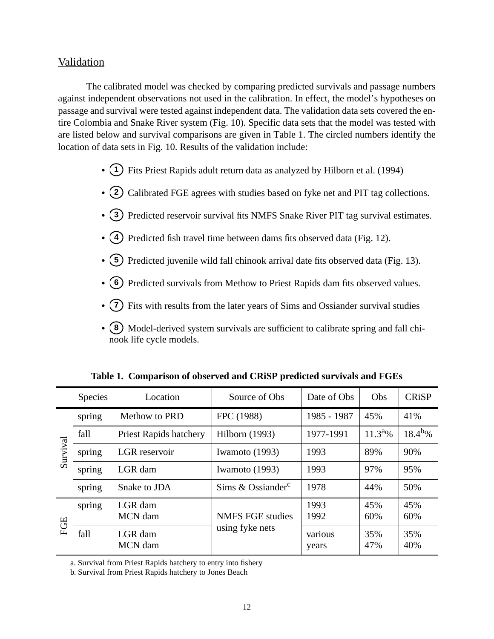#### Validation

The calibrated model was checked by comparing predicted survivals and passage numbers against independent observations not used in the calibration. In effect, the model's hypotheses on passage and survival were tested against independent data. The validation data sets covered the entire Colombia and Snake River system ([Fig. 10\)](#page-12-0). Specific data sets that the model was tested with are listed below and survival comparisons are given in Table 1. The circled numbers identify the location of data sets in [Fig. 10.](#page-12-0) Results of the validation include:

- (1) Fits Priest Rapids adult return data as analyzed by Hilborn et al. (1994)
- (2) Calibrated FGE agrees with studies based on fyke net and PIT tag collections.
- (3) Predicted reservoir survival fits NMFS Snake River PIT tag survival estimates.
- (4) Predicted fish travel time between dams fits observed data ([Fig. 12\)](#page-13-0).
- (5) Predicted juvenile wild fall chinook arrival date fits observed data ([Fig. 13\)](#page-14-0).
- (6) Predicted survivals from Methow to Priest Rapids dam fits observed values.
- (7) Fits with results from the later years of Sims and Ossiander survival studies
- (8) Model-derived system survivals are sufficient to calibrate spring and fall chinook life cycle models.

|          | <b>Species</b> | Location                      | Source of Obs                              | Date of Obs      | <b>Obs</b>   | <b>CRiSP</b> |
|----------|----------------|-------------------------------|--------------------------------------------|------------------|--------------|--------------|
| Survival | spring         | Methow to PRD                 | FPC (1988)                                 | 1985 - 1987      | 45%          | 41%          |
|          | fall           | <b>Priest Rapids hatchery</b> | <b>Hilborn</b> (1993)                      | 1977-1991        | $11.3^{a}\%$ | $18.4^{b}\%$ |
|          | spring         | LGR reservoir                 | Iwamoto (1993)                             | 1993             | 89%          | 90%          |
|          | spring         | LGR dam                       | Iwamoto (1993)                             | 1993             | 97%          | 95%          |
|          | spring         | Snake to JDA                  | Sims & Ossiander $c$                       | 1978             | 44%          | 50%          |
| FGE      | spring         | LGR dam<br>MCN dam            | <b>NMFS FGE studies</b><br>using fyke nets | 1993<br>1992     | 45%<br>60%   | 45%<br>60%   |
|          | fall           | LGR dam<br>MCN dam            |                                            | various<br>years | 35%<br>47%   | 35%<br>40%   |

**Table 1. Comparison of observed and CRiSP predicted survivals and FGEs**

a. Survival from Priest Rapids hatchery to entry into fishery

b. Survival from Priest Rapids hatchery to Jones Beach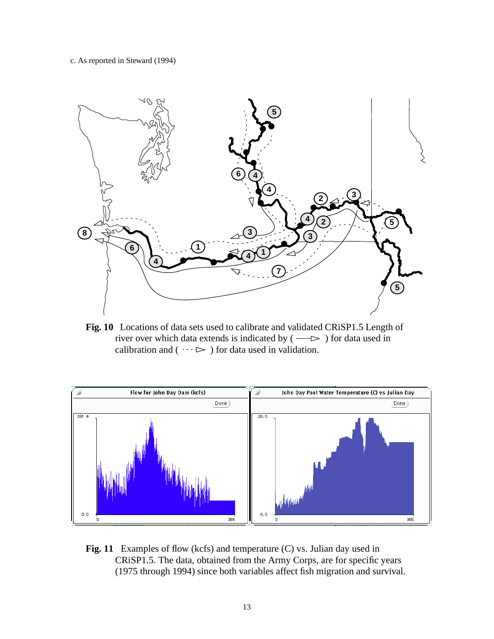<span id="page-12-0"></span>c. As reported in Steward (1994)



**Fig. 10** Locations of data sets used to calibrate and validated CRiSP1.5 Length of river over which data extends is indicated by  $( \longrightarrow )$  for data used in calibration and ( $\cdots$   $\triangleright$ ) for data used in validation.



Fig. 11 Examples of flow (kcfs) and temperature (C) vs. Julian day used in CRiSP1.5. The data, obtained from the Army Corps, are for specific years (1975 through 1994) since both variables affect fish migration and survival.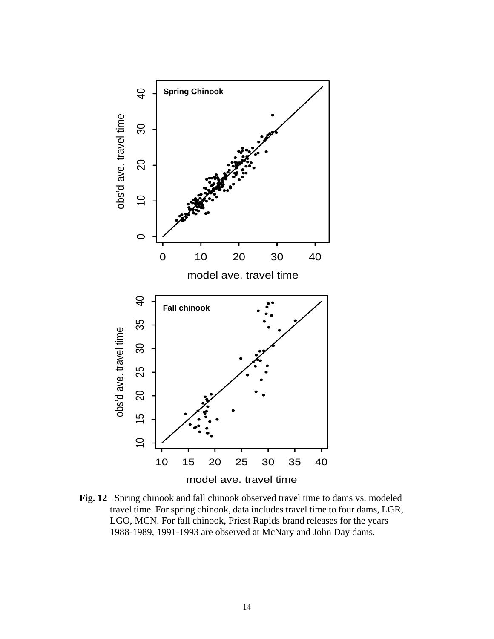<span id="page-13-0"></span>

**Fig. 12** Spring chinook and fall chinook observed travel time to dams vs. modeled travel time. For spring chinook, data includes travel time to four dams, LGR, LGO, MCN. For fall chinook, Priest Rapids brand releases for the years 1988-1989, 1991-1993 are observed at McNary and John Day dams.